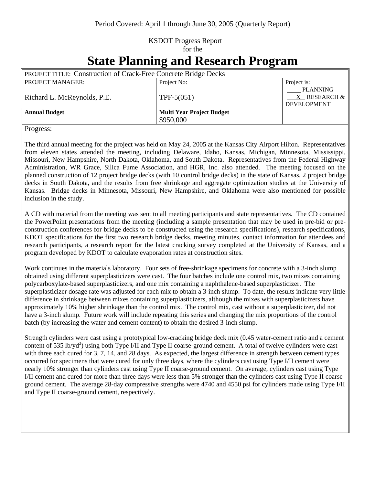## KSDOT Progress Report for the

## **State Planning and Research Program**

| <b>PROJECT TITLE: Construction of Crack-Free Concrete Bridge Decks</b> |                                  |                                                            |
|------------------------------------------------------------------------|----------------------------------|------------------------------------------------------------|
| <b>PROJECT MANAGER:</b>                                                | Project No:                      | Project is:                                                |
| Richard L. McReynolds, P.E.                                            | TPF- $5(051)$                    | <b>PLANNING</b><br>$X$ RESEARCH $\&$<br><b>DEVELOPMENT</b> |
| <b>Annual Budget</b>                                                   | <b>Multi Year Project Budget</b> |                                                            |
|                                                                        | \$950,000                        |                                                            |

Progress:

The third annual meeting for the project was held on May 24, 2005 at the Kansas City Airport Hilton. Representatives from eleven states attended the meeting, including Delaware, Idaho, Kansas, Michigan, Minnesota, Mississippi, Missouri, New Hampshire, North Dakota, Oklahoma, and South Dakota. Representatives from the Federal Highway Administration, WR Grace, Silica Fume Association, and HGR, Inc. also attended. The meeting focused on the planned construction of 12 project bridge decks (with 10 control bridge decks) in the state of Kansas, 2 project bridge decks in South Dakota, and the results from free shrinkage and aggregate optimization studies at the University of Kansas. Bridge decks in Minnesota, Missouri, New Hampshire, and Oklahoma were also mentioned for possible inclusion in the study.

A CD with material from the meeting was sent to all meeting participants and state representatives. The CD contained the PowerPoint presentations from the meeting (including a sample presentation that may be used in pre-bid or preconstruction conferences for bridge decks to be constructed using the research specifications), research specifications, KDOT specifications for the first two research bridge decks, meeting minutes, contact information for attendees and research participants, a research report for the latest cracking survey completed at the University of Kansas, and a program developed by KDOT to calculate evaporation rates at construction sites.

Work continues in the materials laboratory. Four sets of free-shrinkage specimens for concrete with a 3-inch slump obtained using different superplasticizers were cast. The four batches include one control mix, two mixes containing polycarboxylate-based superplasticizers, and one mix containing a naphthalene-based superplasticizer. The superplasticizer dosage rate was adjusted for each mix to obtain a 3-inch slump. To date, the results indicate very little difference in shrinkage between mixes containing superplasticizers, although the mixes with superplasticizers have approximately 10% higher shrinkage than the control mix. The control mix, cast without a superplasticizer, did not have a 3-inch slump. Future work will include repeating this series and changing the mix proportions of the control batch (by increasing the water and cement content) to obtain the desired 3-inch slump.

Strength cylinders were cast using a prototypical low-cracking bridge deck mix (0.45 water-cement ratio and a cement content of 535 lb/yd<sup>3</sup>) using both Type I/II and Type II coarse-ground cement. A total of twelve cylinders were cast with three each cured for 3, 7, 14, and 28 days. As expected, the largest difference in strength between cement types occurred for specimens that were cured for only three days, where the cylinders cast using Type I/II cement were nearly 10% stronger than cylinders cast using Type II coarse-ground cement. On average, cylinders cast using Type I/II cement and cured for more than three days were less than 5% stronger than the cylinders cast using Type II coarseground cement. The average 28-day compressive strengths were 4740 and 4550 psi for cylinders made using Type I/II and Type II coarse-ground cement, respectively.